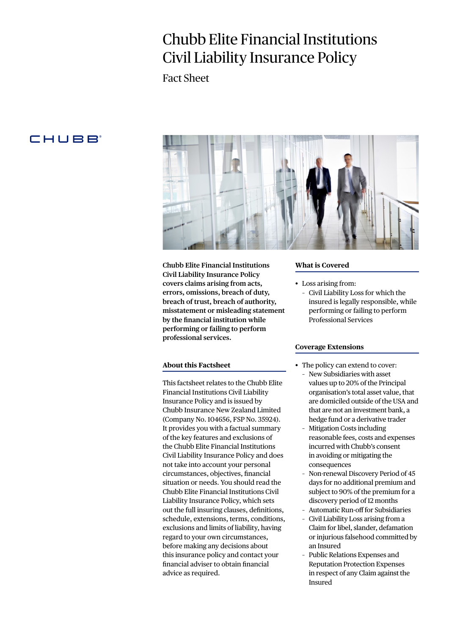# Chubb Elite Financial Institutions Civil Liability Insurance Policy

Fact Sheet

# CHUBB



**Chubb Elite Financial Institutions Civil Liability Insurance Policy covers claims arising from acts, errors, omissions, breach of duty, breach of trust, breach of authority, misstatement or misleading statement by the financial institution while performing or failing to perform professional services.** 

# **About this Factsheet**

This factsheet relates to the Chubb Elite Financial Institutions Civil Liability Insurance Policy and is issued by Chubb Insurance New Zealand Limited (Company No. 104656, FSP No. 35924). It provides you with a factual summary of the key features and exclusions of the Chubb Elite Financial Institutions Civil Liability Insurance Policy and does not take into account your personal circumstances, objectives, financial situation or needs. You should read the Chubb Elite Financial Institutions Civil Liability Insurance Policy, which sets out the full insuring clauses, definitions, schedule, extensions, terms, conditions, exclusions and limits of liability, having regard to your own circumstances, before making any decisions about this insurance policy and contact your financial adviser to obtain financial advice as required.

#### **What is Covered**

- Loss arising from:
	- Civil Liability Loss for which the insured is legally responsible, while performing or failing to perform Professional Services

#### **Coverage Extensions**

- The policy can extend to cover:
	- New Subsidiaries with asset values up to 20% of the Principal organisation's total asset value, that are domiciled outside of the USA and that are not an investment bank, a hedge fund or a derivative trader
	- Mitigation Costs including reasonable fees, costs and expenses incurred with Chubb's consent in avoiding or mitigating the consequences
	- Non-renewal Discovery Period of 45 days for no additional premium and subject to 90% of the premium for a discovery period of 12 months
	- Automatic Run-off for Subsidiaries
	- Civil Liability Loss arising from a Claim for libel, slander, defamation or injurious falsehood committed by an Insured
	- Public Relations Expenses and Reputation Protection Expenses in respect of any Claim against the Insured